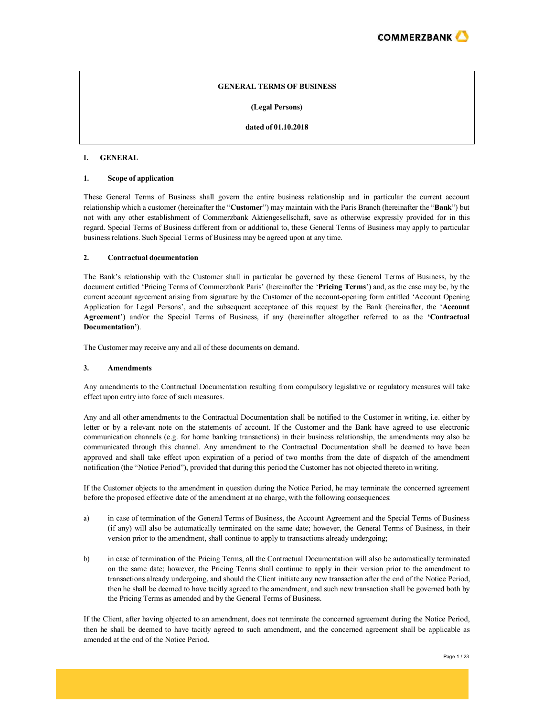

## **GENERAL TERMS OF BUSINESS**

**(Legal Persons)**

**dated of 01.10.2018**

#### **I. GENERAL**

#### **1. Scope of application**

These General Terms of Business shall govern the entire business relationship and in particular the current account relationship which a customer (hereinafter the "**Customer**") may maintain with the Paris Branch (hereinafter the "**Bank**") but not with any other establishment of Commerzbank Aktiengesellschaft, save as otherwise expressly provided for in this regard. Special Terms of Business different from or additional to, these General Terms of Business may apply to particular business relations. Such Special Terms of Business may be agreed upon at any time.

#### **2. Contractual documentation**

The Bank's relationship with the Customer shall in particular be governed by these General Terms of Business, by the document entitled 'Pricing Terms of Commerzbank Paris' (hereinafter the '**Pricing Terms**') and, as the case may be, by the current account agreement arising from signature by the Customer of the account-opening form entitled 'Account Opening Application for Legal Persons', and the subsequent acceptance of this request by the Bank (hereinafter, the '**Account Agreement**') and/or the Special Terms of Business, if any (hereinafter altogether referred to as the **'Contractual Documentation'**).

The Customer may receive any and all of these documents on demand.

## **3. Amendments**

Any amendments to the Contractual Documentation resulting from compulsory legislative or regulatory measures will take effect upon entry into force of such measures.

Any and all other amendments to the Contractual Documentation shall be notified to the Customer in writing, i.e. either by letter or by a relevant note on the statements of account. If the Customer and the Bank have agreed to use electronic communication channels (e.g. for home banking transactions) in their business relationship, the amendments may also be communicated through this channel. Any amendment to the Contractual Documentation shall be deemed to have been approved and shall take effect upon expiration of a period of two months from the date of dispatch of the amendment notification (the "Notice Period"), provided that during this period the Customer has not objected thereto in writing.

If the Customer objects to the amendment in question during the Notice Period, he may terminate the concerned agreement before the proposed effective date of the amendment at no charge, with the following consequences:

- a) in case of termination of the General Terms of Business, the Account Agreement and the Special Terms of Business (if any) will also be automatically terminated on the same date; however, the General Terms of Business, in their version prior to the amendment, shall continue to apply to transactions already undergoing;
- b) in case of termination of the Pricing Terms, all the Contractual Documentation will also be automatically terminated on the same date; however, the Pricing Terms shall continue to apply in their version prior to the amendment to transactions already undergoing, and should the Client initiate any new transaction after the end of the Notice Period, then he shall be deemed to have tacitly agreed to the amendment, and such new transaction shall be governed both by the Pricing Terms as amended and by the General Terms of Business.

If the Client, after having objected to an amendment, does not terminate the concerned agreement during the Notice Period, then he shall be deemed to have tacitly agreed to such amendment, and the concerned agreement shall be applicable as amended at the end of the Notice Period.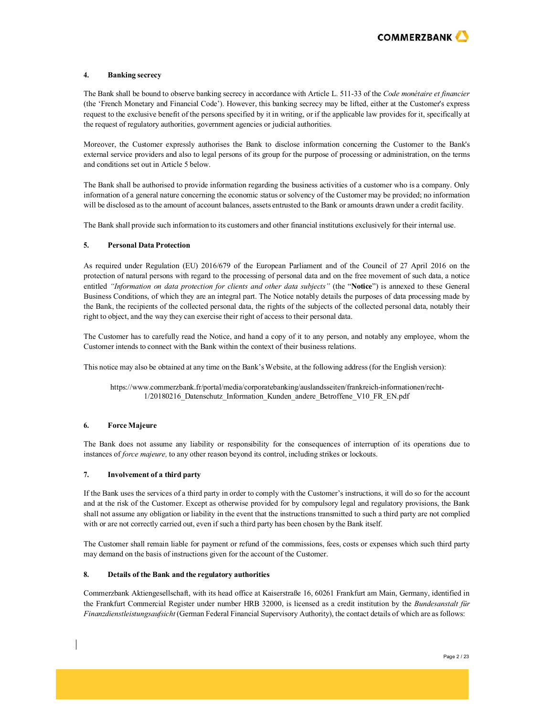

## **4. Banking secrecy**

The Bank shall be bound to observe banking secrecy in accordance with Article L. 511-33 of the *Code monétaire et financier* (the 'French Monetary and Financial Code'). However, this banking secrecy may be lifted, either at the Customer's express request to the exclusive benefit of the persons specified by it in writing, or if the applicable law provides for it, specifically at the request of regulatory authorities, government agencies or judicial authorities.

Moreover, the Customer expressly authorises the Bank to disclose information concerning the Customer to the Bank's external service providers and also to legal persons of its group for the purpose of processing or administration, on the terms and conditions set out in Article 5 below.

The Bank shall be authorised to provide information regarding the business activities of a customer who is a company. Only information of a general nature concerning the economic status or solvency of the Customer may be provided; no information will be disclosed asto the amount of account balances, assets entrusted to the Bank or amounts drawn under a credit facility.

The Bank shall provide such information to its customers and other financial institutions exclusively for their internal use.

### **5. Personal Data Protection**

As required under Regulation (EU) 2016/679 of the European Parliament and of the Council of 27 April 2016 on the protection of natural persons with regard to the processing of personal data and on the free movement of such data, a notice entitled *"Information on data protection for clients and other data subjects"* (the "**Notice**") is annexed to these General Business Conditions, of which they are an integral part. The Notice notably details the purposes of data processing made by the Bank, the recipients of the collected personal data, the rights of the subjects of the collected personal data, notably their right to object, and the way they can exercise their right of access to their personal data.

The Customer has to carefully read the Notice, and hand a copy of it to any person, and notably any employee, whom the Customer intends to connect with the Bank within the context of their business relations.

This notice may also be obtained at any time on the Bank's Website, at the following address (for the English version):

https:[//www.commerzbank.fr/portal/media/corporatebanking/auslandsseiten/frankreich-informationen/recht-](http://www.commerzbank.fr/portal/media/corporatebanking/auslandsseiten/frankreich-informationen/recht-)1/20180216\_Datenschutz\_Information\_Kunden\_andere\_Betroffene\_V10\_FR\_EN.pdf

### **6. Force Majeure**

The Bank does not assume any liability or responsibility for the consequences of interruption of its operations due to instances of *force majeure,* to any other reason beyond its control, including strikes or lockouts.

### **7. Involvement of a third party**

If the Bank uses the services of a third party in order to comply with the Customer's instructions, it will do so for the account and at the risk of the Customer. Except as otherwise provided for by compulsory legal and regulatory provisions, the Bank shall not assume any obligation or liability in the event that the instructions transmitted to such a third party are not complied with or are not correctly carried out, even if such a third party has been chosen by the Bank itself.

The Customer shall remain liable for payment or refund of the commissions, fees, costs or expenses which such third party may demand on the basis of instructions given for the account of the Customer.

### **8. Details of the Bank and the regulatory authorities**

Commerzbank Aktiengesellschaft, with its head office at Kaiserstraße 16, 60261 Frankfurt am Main, Germany, identified in the Frankfurt Commercial Register under number HRB 32000, is licensed as a credit institution by the *Bundesanstalt für Finanzdienstleistungsaufsicht* (German Federal Financial Supervisory Authority), the contact details of which are asfollows: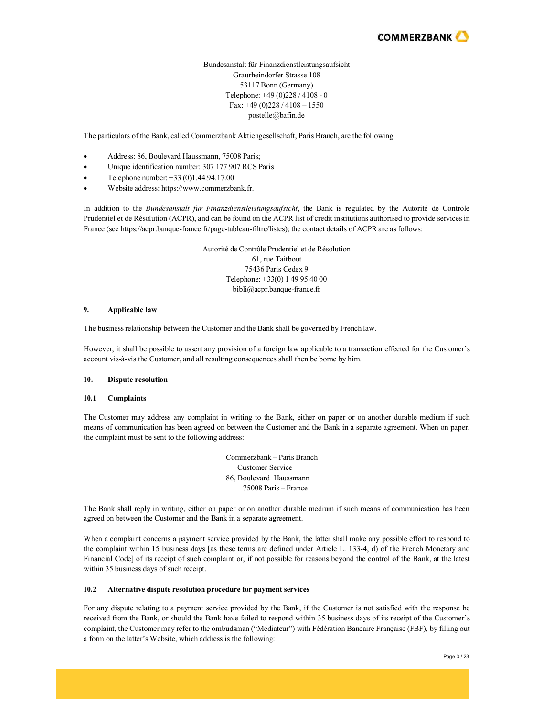

## Bundesanstalt für Finanzdienstleistungsaufsicht Graurheindorfer Strasse 108 53117 Bonn (Germany) Telephone: +49 (0)228 / 4108 - 0 Fax: +49 (0)228 / 4108 – 1550 [postelle@bafin.de](mailto:postelle@bafin.de)

The particulars of the Bank, called Commerzbank Aktiengesellschaft, Paris Branch, are the following:

- Address: 86, Boulevard Haussmann, 75008 Paris;
- Unique identification number: 307 177 907 RCS Paris
- Telephone number: +33 (0)1.44.94.17.00
- Website address: https:[//www.commerzbank.fr.](http://www.commerzbank.fr/)

In addition to the *Bundesanstalt für Finanzdienstleistungsaufsicht*, the Bank is regulated by the Autorité de Contrôle Prudentiel et de Résolution (ACPR), and can be found on the ACPR list of credit institutions authorised to provide servicesin France (see https://acpr.banque-france.fr/page-tableau-filtre/listes); the contact details of ACPRare as follows:

> Autorité de Contrôle Prudentiel et de Résolution 61, rue Taitbout 75436 Paris Cedex 9 Telephone: +33(0) 1 49 95 40 00 [bibli@acpr.banque-france.fr](mailto:bibli@acpr.banque-france.fr)

## **9. Applicable law**

The business relationship between the Customer and the Bank shall be governed by French law.

However, it shall be possible to assert any provision of a foreign law applicable to a transaction effected for the Customer's account vis-à-vis the Customer, and all resulting consequences shall then be borne by him.

### **10. Dispute resolution**

#### **10.1 Complaints**

The Customer may address any complaint in writing to the Bank, either on paper or on another durable medium if such means of communication has been agreed on between the Customer and the Bank in a separate agreement. When on paper, the complaint must be sent to the following address:

> Commerzbank – Paris Branch Customer Service 86, Boulevard Haussmann 75008 Paris – France

The Bank shall reply in writing, either on paper or on another durable medium if such means of communication has been agreed on between the Customer and the Bank in a separate agreement.

When a complaint concerns a payment service provided by the Bank, the latter shall make any possible effort to respond to the complaint within 15 business days [as these terms are defined under Article L. 133-4, d) of the French Monetary and Financial Code] of its receipt of such complaint or, if not possible for reasons beyond the control of the Bank, at the latest within 35 business days of such receipt.

### **10.2 Alternative dispute resolution procedure for payment services**

For any dispute relating to a payment service provided by the Bank, if the Customer is not satisfied with the response he received from the Bank, or should the Bank have failed to respond within 35 business days of its receipt of the Customer's complaint, the Customer may refer to the ombudsman ("Médiateur") with Fédération Bancaire Française (FBF), by filling out a form on the latter's Website, which address is the following: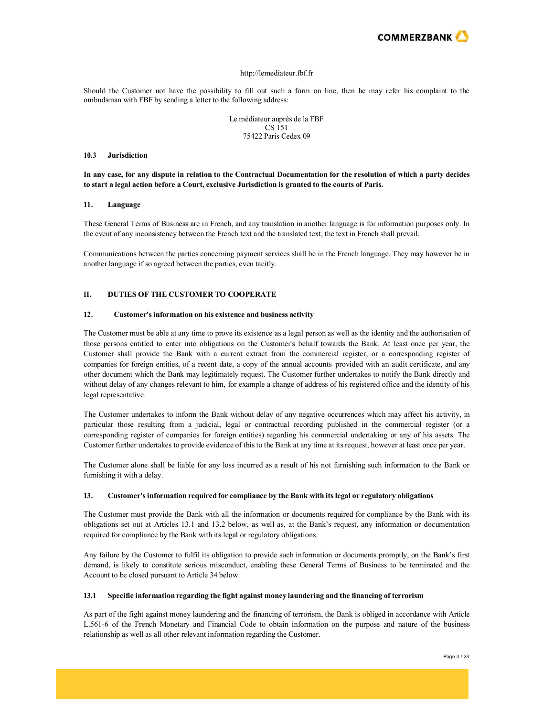

#### [http://lemediateur.fbf.fr](http://lemediateur.fbf.fr/)

Should the Customer not have the possibility to fill out such a form on line, then he may refer his complaint to the ombudsman with FBF by sending a letter to the following address:

> Le médiateur auprès de la FBF CS 151 75422 Paris Cedex 09

#### **10.3 Jurisdiction**

**In any case, for any dispute in relation to the Contractual Documentation for the resolution of which a party decides to start a legal action before a Court, exclusive Jurisdiction is granted to the courts of Paris.**

#### **11. Language**

These General Terms of Business are in French, and any translation in another language is for information purposes only. In the event of any inconsistency between the French text and the translated text, the text in French shall prevail.

Communications between the parties concerning payment services shall be in the French language. They may however be in another language if so agreed between the parties, even tacitly.

## **II. DUTIES OF THE CUSTOMER TO COOPERATE**

## **12. Customer's information on his existence and business activity**

The Customer must be able at any time to prove its existence as a legal person as well as the identity and the authorisation of those persons entitled to enter into obligations on the Customer's behalf towards the Bank. At least once per year, the Customer shall provide the Bank with a current extract from the commercial register, or a corresponding register of companies for foreign entities, of a recent date, a copy of the annual accounts provided with an audit certificate, and any other document which the Bank may legitimately request. The Customer further undertakes to notify the Bank directly and without delay of any changes relevant to him, for example a change of address of his registered office and the identity of his legal representative.

The Customer undertakes to inform the Bank without delay of any negative occurrences which may affect his activity, in particular those resulting from a judicial, legal or contractual recording published in the commercial register (or a corresponding register of companies for foreign entities) regarding his commercial undertaking or any of his assets. The Customer further undertakes to provide evidence of thisto the Bank at any time at itsrequest, however at least once per year.

The Customer alone shall be liable for any loss incurred as a result of his not furnishing such information to the Bank or furnishing it with a delay.

## **13. Customer's information required for compliance by the Bank with itslegal or regulatory obligations**

The Customer must provide the Bank with all the information or documents required for compliance by the Bank with its obligations set out at Articles 13.1 and 13.2 below, as well as, at the Bank's request, any information or documentation required for compliance by the Bank with its legal or regulatory obligations.

Any failure by the Customer to fulfil its obligation to provide such information or documents promptly, on the Bank's first demand, is likely to constitute serious misconduct, enabling these General Terms of Business to be terminated and the Account to be closed pursuant to Article 34 below.

#### **13.1 Specific information regarding the fight against money laundering and the financing of terrorism**

As part of the fight against money laundering and the financing of terrorism, the Bank is obliged in accordance with Article L.561-6 of the French Monetary and Financial Code to obtain information on the purpose and nature of the business relationship as well as all other relevant information regarding the Customer.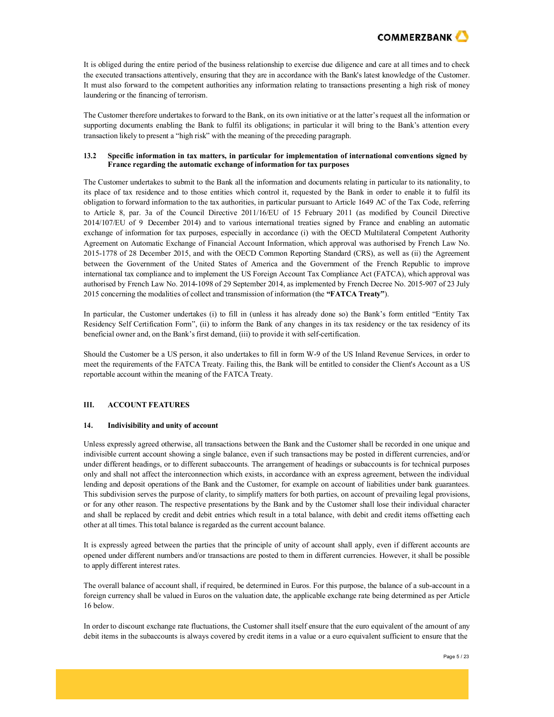

It is obliged during the entire period of the business relationship to exercise due diligence and care at all times and to check the executed transactions attentively, ensuring that they are in accordance with the Bank's latest knowledge of the Customer. It must also forward to the competent authorities any information relating to transactions presenting a high risk of money laundering or the financing of terrorism.

The Customer therefore undertakes to forward to the Bank, on its own initiative or at the latter's request all the information or supporting documents enabling the Bank to fulfil its obligations; in particular it will bring to the Bank's attention every transaction likely to present a "high risk" with the meaning of the preceding paragraph.

### **13.2 Specific information in tax matters, in particular for implementation of international conventions signed by France regarding the automatic exchange of information for tax purposes**

The Customer undertakes to submit to the Bank all the information and documents relating in particular to its nationality, to its place of tax residence and to those entities which control it, requested by the Bank in order to enable it to fulfil its obligation to forward information to the tax authorities, in particular pursuant to Article 1649 AC of the Tax Code, referring to Article 8, par. 3a of the Council Directive 2011/16/EU of 15 February 2011 (as modified by Council Directive 2014/107/EU of 9 December 2014) and to various international treaties signed by France and enabling an automatic exchange of information for tax purposes, especially in accordance (i) with the OECD Multilateral Competent Authority Agreement on Automatic Exchange of Financial Account Information, which approval was authorised by French Law No. 2015-1778 of 28 December 2015, and with the OECD Common Reporting Standard (CRS), as well as (ii) the Agreement between the Government of the United States of America and the Government of the French Republic to improve international tax compliance and to implement the US Foreign Account Tax Compliance Act (FATCA), which approval was authorised by French Law No. 2014-1098 of 29 September 2014, as implemented by French Decree No. 2015-907 of 23 July 2015 concerning the modalities of collect and transmission of information (the **"FATCA Treaty"**).

In particular, the Customer undertakes (i) to fill in (unless it has already done so) the Bank's form entitled "Entity Tax Residency Self Certification Form", (ii) to inform the Bank of any changes in its tax residency or the tax residency of its beneficial owner and, on the Bank's first demand, (iii) to provide it with self-certification.

Should the Customer be a US person, it also undertakes to fill in form W-9 of the US Inland Revenue Services, in order to meet the requirements of the FATCA Treaty. Failing this, the Bank will be entitled to consider the Client's Account as a US reportable account within the meaning of the FATCA Treaty.

### **III. ACCOUNT FEATURES**

### **14. Indivisibility and unity of account**

Unless expressly agreed otherwise, all transactions between the Bank and the Customer shall be recorded in one unique and indivisible current account showing a single balance, even if such transactions may be posted in different currencies, and/or under different headings, or to different subaccounts. The arrangement of headings or subaccounts is for technical purposes only and shall not affect the interconnection which exists, in accordance with an express agreement, between the individual lending and deposit operations of the Bank and the Customer, for example on account of liabilities under bank guarantees. This subdivision serves the purpose of clarity, to simplify matters for both parties, on account of prevailing legal provisions, or for any other reason. The respective presentations by the Bank and by the Customer shall lose their individual character and shall be replaced by credit and debit entries which result in a total balance, with debit and credit items offsetting each other at all times. Thistotal balance isregarded as the current account balance.

It is expressly agreed between the parties that the principle of unity of account shall apply, even if different accounts are opened under different numbers and/or transactions are posted to them in different currencies. However, it shall be possible to apply different interest rates.

The overall balance of account shall, if required, be determined in Euros. For this purpose, the balance of a sub-account in a foreign currency shall be valued in Euros on the valuation date, the applicable exchange rate being determined as per Article 16 below.

In order to discount exchange rate fluctuations, the Customer shall itself ensure that the euro equivalent of the amount of any debit items in the subaccounts is always covered by credit items in a value or a euro equivalent sufficient to ensure that the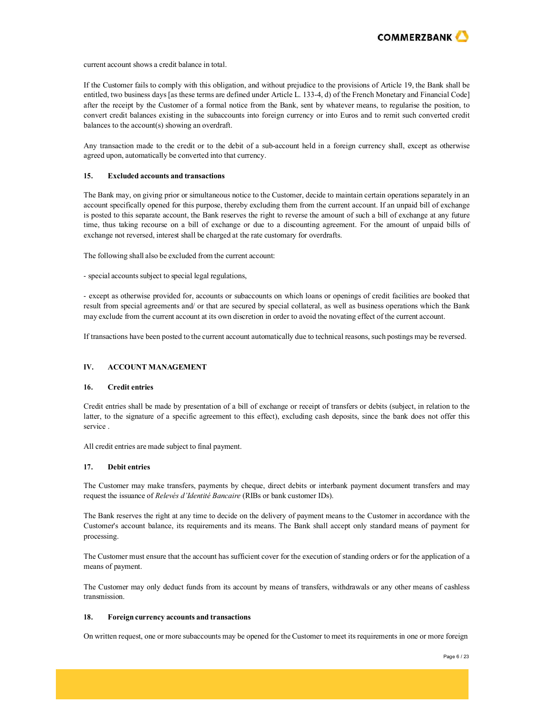

current account shows a credit balance in total.

If the Customer fails to comply with this obligation, and without prejudice to the provisions of Article 19, the Bank shall be entitled, two business days [as these terms are defined under Article L. 133-4, d) of the French Monetary and Financial Code] after the receipt by the Customer of a formal notice from the Bank, sent by whatever means, to regularise the position, to convert credit balances existing in the subaccounts into foreign currency or into Euros and to remit such converted credit balances to the account(s) showing an overdraft.

Any transaction made to the credit or to the debit of a sub-account held in a foreign currency shall, except as otherwise agreed upon, automatically be converted into that currency.

#### **15. Excluded accounts and transactions**

The Bank may, on giving prior or simultaneous notice to the Customer, decide to maintain certain operations separately in an account specifically opened for this purpose, thereby excluding them from the current account. If an unpaid bill of exchange is posted to this separate account, the Bank reserves the right to reverse the amount of such a bill of exchange at any future time, thus taking recourse on a bill of exchange or due to a discounting agreement. For the amount of unpaid bills of exchange not reversed, interest shall be charged at the rate customary for overdrafts.

The following shall also be excluded from the current account:

- special accounts subject to special legal regulations,

- except as otherwise provided for, accounts or subaccounts on which loans or openings of credit facilities are booked that result from special agreements and/ or that are secured by special collateral, as well as business operations which the Bank may exclude from the current account at its own discretion in order to avoid the novating effect of the current account.

If transactions have been posted to the current account automatically due to technical reasons, such postings may be reversed.

## **IV. ACCOUNT MANAGEMENT**

## **16. Credit entries**

Credit entries shall be made by presentation of a bill of exchange or receipt of transfers or debits (subject, in relation to the latter, to the signature of a specific agreement to this effect), excluding cash deposits, since the bank does not offer this service .

All credit entries are made subject to final payment.

## **17. Debit entries**

The Customer may make transfers, payments by cheque, direct debits or interbank payment document transfers and may request the issuance of *Relevés d'Identité Bancaire* (RIBs or bank customer IDs).

The Bank reserves the right at any time to decide on the delivery of payment means to the Customer in accordance with the Customer's account balance, its requirements and its means. The Bank shall accept only standard means of payment for processing.

The Customer must ensure that the account has sufficient cover for the execution of standing orders or for the application of a means of payment.

The Customer may only deduct funds from its account by means of transfers, withdrawals or any other means of cashless transmission.

#### **18. Foreign currency accounts and transactions**

On written request, one or more subaccounts may be opened for the Customer to meet itsrequirements in one or more foreign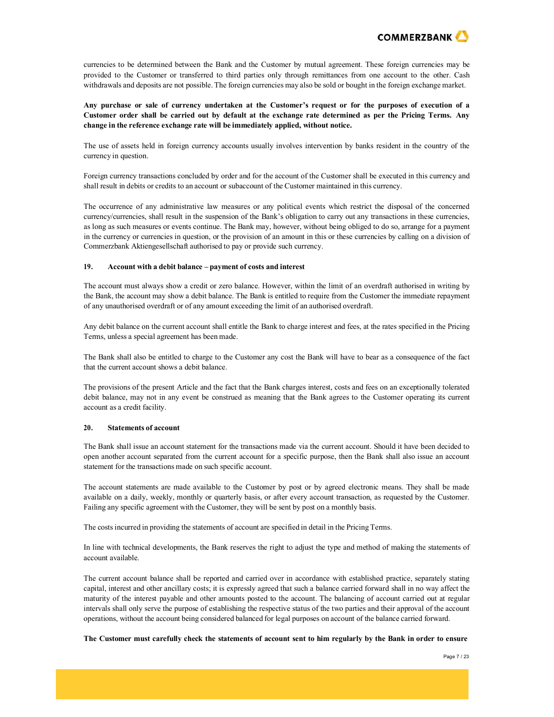

currencies to be determined between the Bank and the Customer by mutual agreement. These foreign currencies may be provided to the Customer or transferred to third parties only through remittances from one account to the other. Cash withdrawals and deposits are not possible. The foreign currencies may also be sold or bought in the foreign exchange market.

**Any purchase or sale of currency undertaken at the Customer's request or for the purposes of execution of a Customer order shall be carried out by default at the exchange rate determined as per the Pricing Terms. Any change in the reference exchange rate will be immediately applied, without notice.**

The use of assets held in foreign currency accounts usually involves intervention by banks resident in the country of the currency in question.

Foreign currency transactions concluded by order and for the account of the Customer shall be executed in this currency and shall result in debits or credits to an account or subaccount of the Customer maintained in this currency.

The occurrence of any administrative law measures or any political events which restrict the disposal of the concerned currency/currencies, shall result in the suspension of the Bank's obligation to carry out any transactions in these currencies, as long as such measures or events continue. The Bank may, however, without being obliged to do so, arrange for a payment in the currency or currencies in question, or the provision of an amount in this or these currencies by calling on a division of Commerzbank Aktiengesellschaft authorised to pay or provide such currency.

#### **19. Account with a debit balance – payment of costs and interest**

The account must always show a credit or zero balance. However, within the limit of an overdraft authorised in writing by the Bank, the account may show a debit balance. The Bank is entitled to require from the Customer the immediate repayment of any unauthorised overdraft or of any amount exceeding the limit of an authorised overdraft.

Any debit balance on the current account shall entitle the Bank to charge interest and fees, at the rates specified in the Pricing Terms, unless a special agreement has been made.

The Bank shall also be entitled to charge to the Customer any cost the Bank will have to bear as a consequence of the fact that the current account shows a debit balance.

The provisions of the present Article and the fact that the Bank charges interest, costs and fees on an exceptionally tolerated debit balance, may not in any event be construed as meaning that the Bank agrees to the Customer operating its current account as a credit facility.

### **20. Statements of account**

The Bank shall issue an account statement for the transactions made via the current account. Should it have been decided to open another account separated from the current account for a specific purpose, then the Bank shall also issue an account statement for the transactions made on such specific account.

The account statements are made available to the Customer by post or by agreed electronic means. They shall be made available on a daily, weekly, monthly or quarterly basis, or after every account transaction, as requested by the Customer. Failing any specific agreement with the Customer, they will be sent by post on a monthly basis.

The costsincurred in providing the statements of account are specified in detail in the Pricing Terms.

In line with technical developments, the Bank reserves the right to adjust the type and method of making the statements of account available.

The current account balance shall be reported and carried over in accordance with established practice, separately stating capital, interest and other ancillary costs; it is expressly agreed that such a balance carried forward shall in no way affect the maturity of the interest payable and other amounts posted to the account. The balancing of account carried out at regular intervals shall only serve the purpose of establishing the respective status of the two parties and their approval of the account operations, without the account being considered balanced for legal purposes on account of the balance carried forward.

#### The Customer must carefully check the statements of account sent to him regularly by the Bank in order to ensure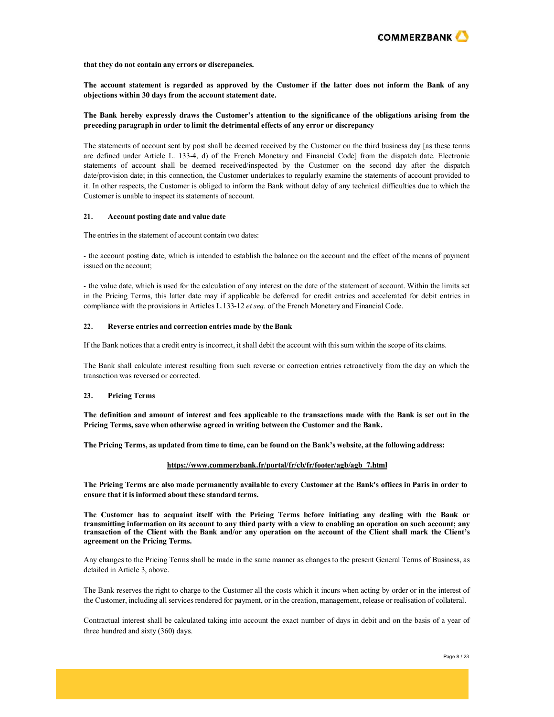

#### **that they do not contain any errors or discrepancies.**

**The account statement is regarded as approved by the Customer if the latter does not inform the Bank of any objections within 30 days from the account statement date.**

## **The Bank hereby expressly draws the Customer's attention to the significance of the obligations arising from the preceding paragraph in order to limit the detrimental effects of any error or discrepancy**

The statements of account sent by post shall be deemed received by the Customer on the third business day [as these terms are defined under Article L. 133-4, d) of the French Monetary and Financial Code] from the dispatch date. Electronic statements of account shall be deemed received/inspected by the Customer on the second day after the dispatch date/provision date; in this connection, the Customer undertakes to regularly examine the statements of account provided to it. In other respects, the Customer is obliged to inform the Bank without delay of any technical difficulties due to which the Customer is unable to inspect its statements of account.

#### **21. Account posting date and value date**

The entries in the statement of account contain two dates:

- the account posting date, which is intended to establish the balance on the account and the effect of the means of payment issued on the account;

- the value date, which is used for the calculation of any interest on the date of the statement of account. Within the limits set in the Pricing Terms, this latter date may if applicable be deferred for credit entries and accelerated for debit entries in compliance with the provisions in Articles L.133-12 *et seq*. of the French Monetary and Financial Code.

### **22. Reverse entries and correction entries made by the Bank**

If the Bank noticesthat a credit entry is incorrect, it shall debit the account with thissum within the scope of its claims.

The Bank shall calculate interest resulting from such reverse or correction entries retroactively from the day on which the transaction was reversed or corrected.

### **23. Pricing Terms**

**The definition and amount of interest and fees applicable to the transactions made with the Bank is set out in the Pricing Terms, save when otherwise agreed in writing between the Customer and the Bank.**

The Pricing Terms, as updated from time to time, can be found on the Bank's website, at the following address:

## **https:[//www.commerzbank.fr/portal/fr/cb/fr/footer/agb/agb\\_7.html](http://www.commerzbank.fr/portal/fr/cb/fr/footer/agb/agb_7.html)**

The Pricing Terms are also made permanently available to every Customer at the Bank's offices in Paris in order to **ensure that it isinformed about these standard terms.**

The Customer has to acquaint itself with the Pricing Terms before initiating any dealing with the Bank or **transmitting information on its account to any third party with a view to enabling an operation on such account; any transaction of the Client with the Bank and/or any operation on the account of the Client shall mark the Client's agreement on the Pricing Terms.**

Any changes to the Pricing Terms shall be made in the same manner as changes to the present General Terms of Business, as detailed in Article 3, above.

The Bank reserves the right to charge to the Customer all the costs which it incurs when acting by order or in the interest of the Customer, including all services rendered for payment, or in the creation, management, release or realisation of collateral.

Contractual interest shall be calculated taking into account the exact number of days in debit and on the basis of a year of three hundred and sixty (360) days.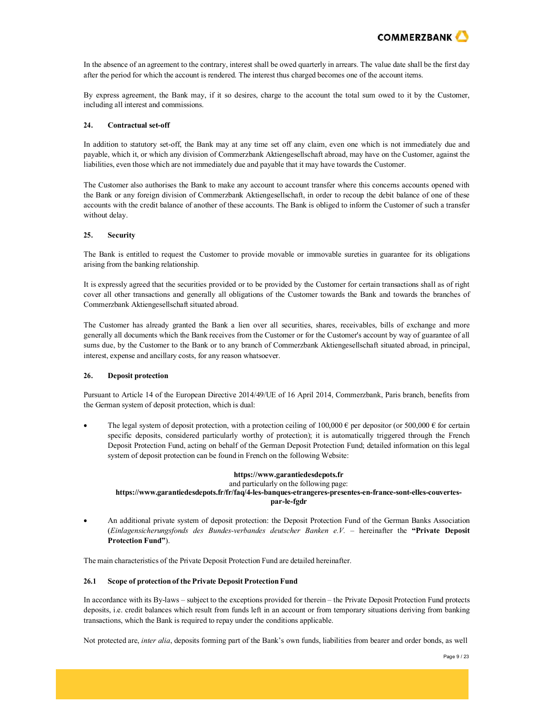

In the absence of an agreement to the contrary, interest shall be owed quarterly in arrears. The value date shall be the first day after the period for which the account is rendered. The interest thus charged becomes one of the account items.

By express agreement, the Bank may, if it so desires, charge to the account the total sum owed to it by the Customer, including all interest and commissions.

#### **24. Contractual set-off**

In addition to statutory set-off, the Bank may at any time set off any claim, even one which is not immediately due and payable, which it, or which any division of Commerzbank Aktiengesellschaft abroad, may have on the Customer, against the liabilities, even those which are not immediately due and payable that it may have towards the Customer.

The Customer also authorises the Bank to make any account to account transfer where this concerns accounts opened with the Bank or any foreign division of Commerzbank Aktiengesellschaft, in order to recoup the debit balance of one of these accounts with the credit balance of another of these accounts. The Bank is obliged to inform the Customer of such a transfer without delay.

## **25. Security**

The Bank is entitled to request the Customer to provide movable or immovable sureties in guarantee for its obligations arising from the banking relationship.

It is expressly agreed that the securities provided or to be provided by the Customer for certain transactions shall as of right cover all other transactions and generally all obligations of the Customer towards the Bank and towards the branches of Commerzbank Aktiengesellschaft situated abroad.

The Customer has already granted the Bank a lien over all securities, shares, receivables, bills of exchange and more generally all documents which the Bank receives from the Customer or for the Customer's account by way of guarantee of all sums due, by the Customer to the Bank or to any branch of Commerzbank Aktiengesellschaft situated abroad, in principal, interest, expense and ancillary costs, for any reason whatsoever.

### **26. Deposit protection**

Pursuant to Article 14 of the European Directive 2014/49/UE of 16 April 2014, Commerzbank, Paris branch, benefits from the German system of deposit protection, which is dual:

The legal system of deposit protection, with a protection ceiling of 100,000  $\epsilon$  per depositor (or 500,000  $\epsilon$  for certain specific deposits, considered particularly worthy of protection); it is automatically triggered through the French Deposit Protection Fund, acting on behalf of the German Deposit Protection Fund; detailed information on this legal system of deposit protection can be found in French on the following Website:

## **https:[//www.garantiedesdepots.fr](http://www.garantiedesdepots.fr/)** and particularly on the following page: **https:[//www.garantiedesdepots.fr/fr/faq/4-les-banques-etrangeres-presentes-en-france-sont-elles-couvertes](http://www.garantiedesdepots.fr/fr/faq/4-les-banques-etrangeres-presentes-en-france-sont-elles-couvertes-)par-le-fgdr**

• An additional private system of deposit protection: the Deposit Protection Fund of the German Banks Association (*Einlagensicherungsfonds des Bundes-verbandes deutscher Banken e.V.* – hereinafter the **"Private Deposit Protection Fund"**).

The main characteristics of the Private Deposit Protection Fund are detailed hereinafter.

## **26.1 Scope of protection of the Private Deposit Protection Fund**

In accordance with its By-laws – subject to the exceptions provided for therein – the Private Deposit Protection Fund protects deposits, i.e. credit balances which result from funds left in an account or from temporary situations deriving from banking transactions, which the Bank is required to repay under the conditions applicable.

Not protected are, *inter alia*, deposits forming part of the Bank's own funds, liabilities from bearer and order bonds, as well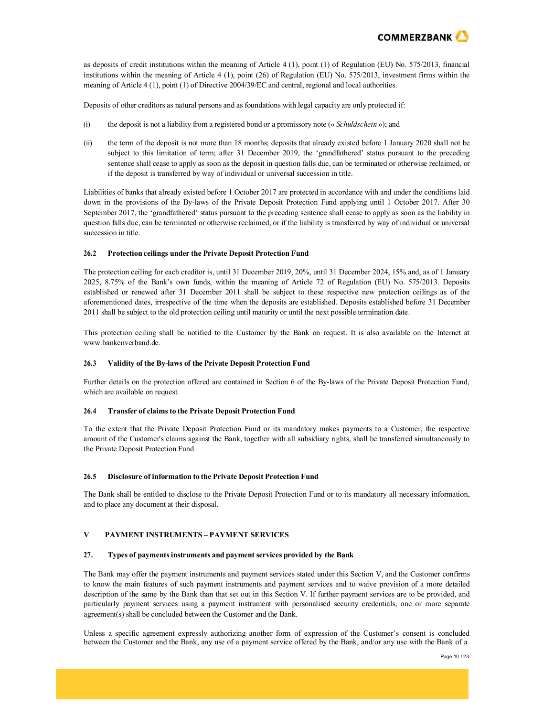

as deposits of credit institutions within the meaning of Article 4 (1), point (1) of Regulation (EU) No. 575/2013, financial institutions within the meaning of Article 4 (1), point (26) of Regulation (EU) No. 575/2013, investment firms within the meaning of Article 4 (1), point (1) of Directive 2004/39/EC and central, regional and local authorities.

Deposits of other creditors as natural persons and asfoundations with legal capacity are only protected if:

- (i) the deposit is not a liability from a registered bond or a promissory note (« *Schuldschein* »); and
- (ii) the term of the deposit is not more than 18 months; deposits that already existed before 1 January 2020 shall not be subject to this limitation of term; after 31 December 2019, the 'grandfathered' status pursuant to the preceding sentence shall cease to apply as soon as the deposit in question falls due, can be terminated or otherwise reclaimed, or if the deposit is transferred by way of individual or universal succession in title.

Liabilities of banks that already existed before 1 October 2017 are protected in accordance with and under the conditions laid down in the provisions of the By-laws of the Private Deposit Protection Fund applying until 1 October 2017. After 30 September 2017, the 'grandfathered' status pursuant to the preceding sentence shall cease to apply as soon as the liability in question falls due, can be terminated or otherwise reclaimed, or if the liability is transferred by way of individual or universal succession in title.

## **26.2 Protection ceilings under the Private Deposit Protection Fund**

The protection ceiling for each creditor is, until 31 December 2019, 20%, until 31 December 2024, 15% and, as of 1 January 2025, 8.75% of the Bank's own funds, within the meaning of Article 72 of Regulation (EU) No. 575/2013. Deposits established or renewed after 31 December 2011 shall be subject to these respective new protection ceilings as of the aforementioned dates, irrespective of the time when the deposits are established. Deposits established before 31 December 2011 shall be subject to the old protection ceiling until maturity or until the next possible termination date.

This protection ceiling shall be notified to the Customer by the Bank on request. It is also available on the Internet at [www.bankenverband.de.](http://www.bankenverband.de/)

## **26.3 Validity of the By-laws of the Private Deposit Protection Fund**

Further details on the protection offered are contained in Section 6 of the By-laws of the Private Deposit Protection Fund, which are available on request.

### **26.4 Transfer of claimsto the Private Deposit Protection Fund**

To the extent that the Private Deposit Protection Fund or its mandatory makes payments to a Customer, the respective amount of the Customer's claims against the Bank, together with all subsidiary rights, shall be transferred simultaneously to the Private Deposit Protection Fund.

### **26.5 Disclosure of information to the Private Deposit Protection Fund**

The Bank shall be entitled to disclose to the Private Deposit Protection Fund or to its mandatory all necessary information, and to place any document at their disposal.

## **V PAYMENT INSTRUMENTS – PAYMENT SERVICES**

### **27. Types of payments instruments and payment services provided by the Bank**

The Bank may offer the payment instruments and payment services stated under this Section V, and the Customer confirms to know the main features of such payment instruments and payment services and to waive provision of a more detailed description of the same by the Bank than that set out in this Section V. If further payment services are to be provided, and particularly payment services using a payment instrument with personalised security credentials, one or more separate agreement(s) shall be concluded between the Customer and the Bank.

Unless a specific agreement expressly authorizing another form of expression of the Customer's consent is concluded between the Customer and the Bank, any use of a payment service offered by the Bank, and/or any use with the Bank of a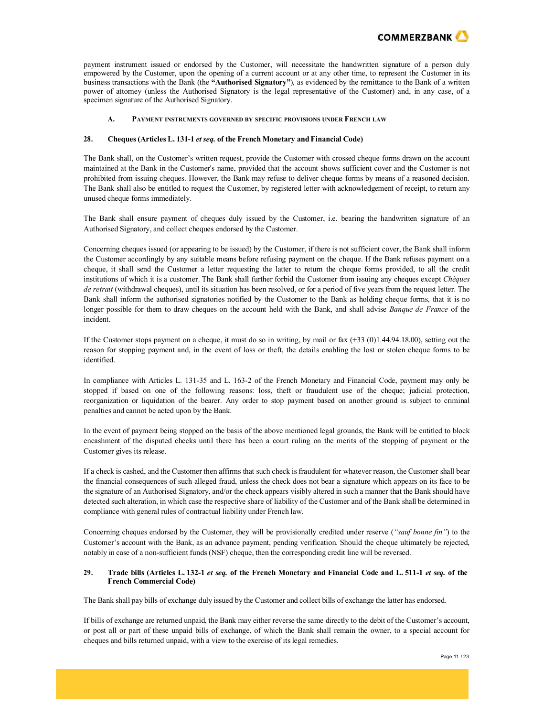

payment instrument issued or endorsed by the Customer, will necessitate the handwritten signature of a person duly empowered by the Customer, upon the opening of a current account or at any other time, to represent the Customer in its business transactions with the Bank (the **"Authorised Signatory"**), as evidenced by the remittance to the Bank of a written power of attorney (unless the Authorised Signatory is the legal representative of the Customer) and, in any case, of a specimen signature of the Authorised Signatory.

### **A. PAYMENT INSTRUMENTS GOVERNED BY SPECIFIC PROVISIONS UNDER FRENCH LAW**

## **28. Cheques(Articles L. 131-1** *et seq.* **of the French Monetary andFinancial Code)**

The Bank shall, on the Customer's written request, provide the Customer with crossed cheque forms drawn on the account maintained at the Bank in the Customer's name, provided that the account shows sufficient cover and the Customer is not prohibited from issuing cheques. However, the Bank may refuse to deliver cheque forms by means of a reasoned decision. The Bank shall also be entitled to request the Customer, by registered letter with acknowledgement of receipt, to return any unused cheque forms immediately.

The Bank shall ensure payment of cheques duly issued by the Customer, i.e. bearing the handwritten signature of an Authorised Signatory, and collect cheques endorsed by the Customer.

Concerning cheques issued (or appearing to be issued) by the Customer, if there is not sufficient cover, the Bank shall inform the Customer accordingly by any suitable means before refusing payment on the cheque. If the Bank refuses payment on a cheque, it shall send the Customer a letter requesting the latter to return the cheque forms provided, to all the credit institutions of which it is a customer. The Bank shall further forbid the Customer from issuing any cheques except *Chèques de retrait* (withdrawal cheques), until its situation has been resolved, or for a period of five years from the request letter. The Bank shall inform the authorised signatories notified by the Customer to the Bank as holding cheque forms, that it is no longer possible for them to draw cheques on the account held with the Bank, and shall advise *Banque de France* of the incident.

If the Customer stops payment on a cheque, it must do so in writing, by mail or fax  $(+33 \ (0)1.44.94.18.00)$ , setting out the reason for stopping payment and, in the event of loss or theft, the details enabling the lost or stolen cheque forms to be identified.

In compliance with Articles L. 131-35 and L. 163-2 of the French Monetary and Financial Code, payment may only be stopped if based on one of the following reasons: loss, theft or fraudulent use of the cheque; judicial protection, reorganization or liquidation of the bearer. Any order to stop payment based on another ground is subject to criminal penalties and cannot be acted upon by the Bank.

In the event of payment being stopped on the basis of the above mentioned legal grounds, the Bank will be entitled to block encashment of the disputed checks until there has been a court ruling on the merits of the stopping of payment or the Customer gives its release.

If a check is cashed, and the Customer then affirms that such check isfraudulent for whatever reason, the Customer shall bear the financial consequences of such alleged fraud, unless the check does not bear a signature which appears on its face to be the signature of an Authorised Signatory, and/or the check appears visibly altered in such a manner that the Bank should have detected such alteration, in which case the respective share of liability of the Customer and of the Bank shall be determined in compliance with general rules of contractual liability under French law.

Concerning cheques endorsed by the Customer, they will be provisionally credited under reserve (*"sauf bonne fin"*) to the Customer's account with the Bank, as an advance payment, pending verification. Should the cheque ultimately be rejected, notably in case of a non-sufficient funds (NSF) cheque, then the corresponding credit line will be reversed.

### 29. Trade bills (Articles L. 132-1 et seq. of the French Monetary and Financial Code and L. 511-1 et seq. of the **French Commercial Code)**

The Bank shall pay bills of exchange duly issued by the Customer and collect bills of exchange the latter has endorsed.

If bills of exchange are returned unpaid, the Bank may either reverse the same directly to the debit of the Customer's account, or post all or part of these unpaid bills of exchange, of which the Bank shall remain the owner, to a special account for cheques and bills returned unpaid, with a view to the exercise of itslegal remedies.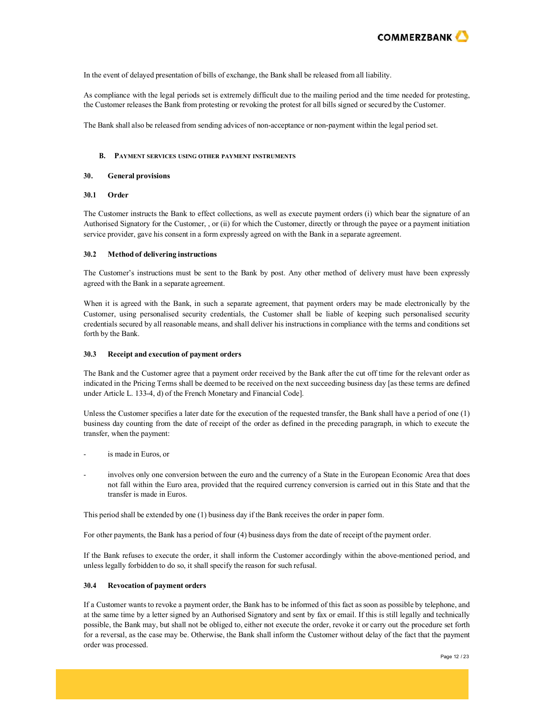

In the event of delayed presentation of bills of exchange, the Bank shall be released from all liability.

As compliance with the legal periods set is extremely difficult due to the mailing period and the time needed for protesting, the Customer releases the Bank from protesting or revoking the protest for all bills signed or secured by the Customer.

The Bank shall also be released from sending advices of non-acceptance or non-payment within the legal period set.

#### **B. PAYMENT SERVICES USING OTHER PAYMENT INSTRUMENTS**

#### **30. General provisions**

#### **30.1 Order**

The Customer instructs the Bank to effect collections, as well as execute payment orders (i) which bear the signature of an Authorised Signatory for the Customer, , or (ii) for which the Customer, directly or through the payee or a payment initiation service provider, gave his consent in a form expressly agreed on with the Bank in a separate agreement.

#### **30.2 Method of delivering instructions**

The Customer's instructions must be sent to the Bank by post. Any other method of delivery must have been expressly agreed with the Bank in a separate agreement.

When it is agreed with the Bank, in such a separate agreement, that payment orders may be made electronically by the Customer, using personalised security credentials, the Customer shall be liable of keeping such personalised security credentials secured by all reasonable means, and shall deliver his instructionsin compliance with the terms and conditions set forth by the Bank.

#### **30.3 Receipt and execution of payment orders**

The Bank and the Customer agree that a payment order received by the Bank after the cut off time for the relevant order as indicated in the Pricing Terms shall be deemed to be received on the next succeeding business day [as these terms are defined under Article L. 133-4, d) of the French Monetary and Financial Code].

Unless the Customer specifies a later date for the execution of the requested transfer, the Bank shall have a period of one (1) business day counting from the date of receipt of the order as defined in the preceding paragraph, in which to execute the transfer, when the payment:

- is made in Euros, or
- involves only one conversion between the euro and the currency of a State in the European Economic Area that does not fall within the Euro area, provided that the required currency conversion is carried out in this State and that the transfer is made in Euros.

This period shall be extended by one (1) business day if the Bank receives the order in paper form.

For other payments, the Bank has a period of four (4) business days from the date of receipt of the payment order.

If the Bank refuses to execute the order, it shall inform the Customer accordingly within the above-mentioned period, and unless legally forbidden to do so, it shall specify the reason for such refusal.

#### **30.4 Revocation of payment orders**

If a Customer wants to revoke a payment order, the Bank has to be informed of this fact as soon as possible by telephone, and at the same time by a letter signed by an Authorised Signatory and sent by fax or email. If this is still legally and technically possible, the Bank may, but shall not be obliged to, either not execute the order, revoke it or carry out the procedure set forth for a reversal, as the case may be. Otherwise, the Bank shall inform the Customer without delay of the fact that the payment order was processed.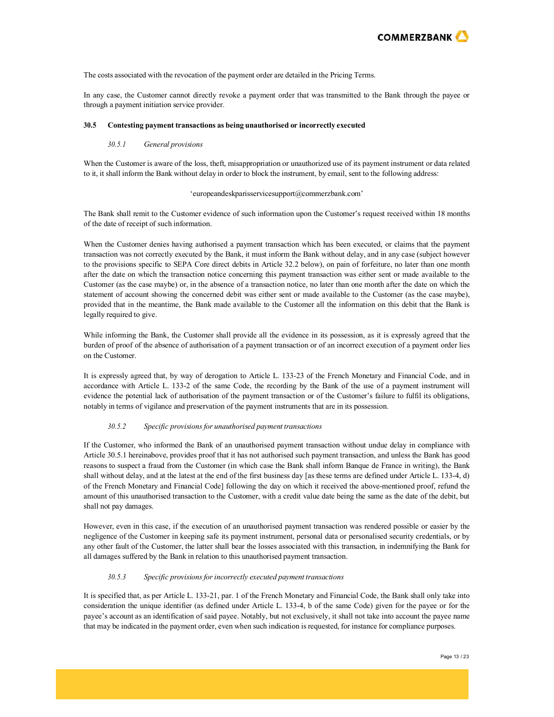

The costs associated with the revocation of the payment order are detailed in the Pricing Terms.

In any case, the Customer cannot directly revoke a payment order that was transmitted to the Bank through the payee or through a payment initiation service provider.

#### **30.5 Contesting payment transactions as being unauthorised or incorrectly executed**

## *30.5.1 General provisions*

When the Customer is aware of the loss, theft, misappropriation or unauthorized use of its payment instrument or data related to it, it shall inform the Bank without delay in order to block the instrument, by email, sent to the following address:

#### ['europeandeskparisservicesupport@commerzbank.com'](mailto:europeandeskparisservicesupport@commerzbank.com)

The Bank shall remit to the Customer evidence of such information upon the Customer's request received within 18 months of the date of receipt of such information.

When the Customer denies having authorised a payment transaction which has been executed, or claims that the payment transaction was not correctly executed by the Bank, it must inform the Bank without delay, and in any case (subject however to the provisions specific to SEPA Core direct debits in Article 32.2 below), on pain of forfeiture, no later than one month after the date on which the transaction notice concerning this payment transaction was either sent or made available to the Customer (as the case maybe) or, in the absence of a transaction notice, no later than one month after the date on which the statement of account showing the concerned debit was either sent or made available to the Customer (as the case maybe), provided that in the meantime, the Bank made available to the Customer all the information on this debit that the Bank is legally required to give.

While informing the Bank, the Customer shall provide all the evidence in its possession, as it is expressly agreed that the burden of proof of the absence of authorisation of a payment transaction or of an incorrect execution of a payment order lies on the Customer.

It is expressly agreed that, by way of derogation to Article L. 133-23 of the French Monetary and Financial Code, and in accordance with Article L. 133-2 of the same Code, the recording by the Bank of the use of a payment instrument will evidence the potential lack of authorisation of the payment transaction or of the Customer's failure to fulfil its obligations, notably in terms of vigilance and preservation of the payment instruments that are in its possession.

#### *30.5.2 Specific provisionsfor unauthorised payment transactions*

If the Customer, who informed the Bank of an unauthorised payment transaction without undue delay in compliance with Article 30.5.1 hereinabove, provides proof that it has not authorised such payment transaction, and unless the Bank has good reasons to suspect a fraud from the Customer (in which case the Bank shall inform Banque de France in writing), the Bank shall without delay, and at the latest at the end of the first business day [as these terms are defined under Article L. 133-4, d) of the French Monetary and Financial Code] following the day on which it received the above-mentioned proof, refund the amount of this unauthorised transaction to the Customer, with a credit value date being the same as the date of the debit, but shall not pay damages.

However, even in this case, if the execution of an unauthorised payment transaction was rendered possible or easier by the negligence of the Customer in keeping safe its payment instrument, personal data or personalised security credentials, or by any other fault of the Customer, the latter shall bear the losses associated with this transaction, in indemnifying the Bank for all damages suffered by the Bank in relation to this unauthorised payment transaction.

## *30.5.3 Specific provisionsforincorrectly executed payment transactions*

It is specified that, as per Article L. 133-21, par. 1 of the French Monetary and Financial Code, the Bank shall only take into consideration the unique identifier (as defined under Article L. 133-4, b of the same Code) given for the payee or for the payee's account as an identification of said payee. Notably, but not exclusively, it shall not take into account the payee name that may be indicated in the payment order, even when such indication isrequested, for instance for compliance purposes.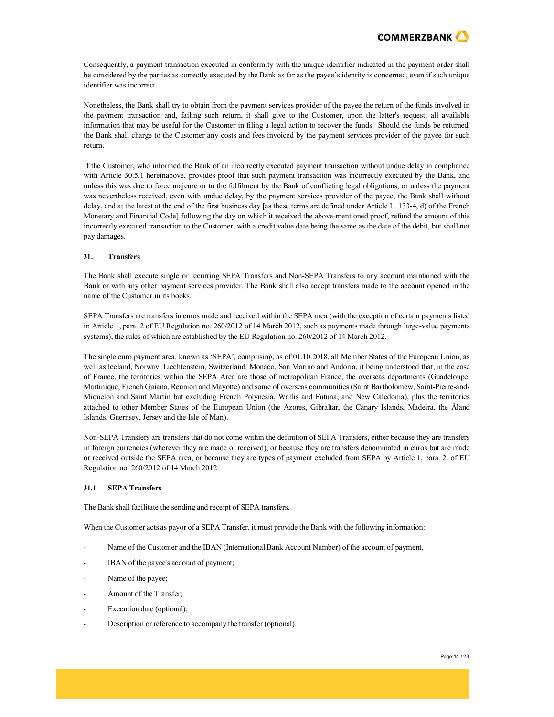

Consequently, a payment transaction executed in conformity with the unique identifier indicated in the payment order shall be considered by the parties as correctly executed by the Bank as far as the payee's identity is concerned, even if such unique identifier was incorrect.

Nonetheless, the Bank shall try to obtain from the payment services provider of the payee the return of the funds involved in the payment transaction and, failing such return, it shall give to the Customer, upon the latter's request, all available information that may be useful for the Customer in filing a legal action to recover the funds. Should the funds be returned, the Bank shall charge to the Customer any costs and fees invoiced by the payment services provider of the payee for such return.

If the Customer, who informed the Bank of an incorrectly executed payment transaction without undue delay in compliance with Article 30.5.1 hereinabove, provides proof that such payment transaction was incorrectly executed by the Bank, and unless this was due to force majeure or to the fulfilment by the Bank of conflicting legal obligations, or unless the payment was nevertheless received, even with undue delay, by the payment services provider of the payee, the Bank shall without delay, and at the latest at the end of the first business day [as these terms are defined under Article L. 133-4, d) of the French Monetary and Financial Code] following the day on which it received the above-mentioned proof, refund the amount of this incorrectly executed transaction to the Customer, with a credit value date being the same as the date of the debit, but shall not pay damages.

### **31. Transfers**

The Bank shall execute single or recurring SEPA Transfers and Non-SEPA Transfers to any account maintained with the Bank or with any other payment services provider. The Bank shall also accept transfers made to the account opened in the name of the Customer in its books.

SEPA Transfers are transfers in euros made and received within the SEPA area (with the exception of certain payments listed in Article 1, para. 2 of EU Regulation no. 260/2012 of 14 March 2012, such as payments made through large-value payments systems), the rules of which are established by the EU Regulation no. 260/2012 of 14 March 2012.

The single euro payment area, known as 'SEPA', comprising, as of 01.10.2018, all Member States of the European Union, as well as Iceland, Norway, Liechtenstein, Switzerland, Monaco, San Marino and Andorra, it being understood that, in the case of France, the territories within the SEPA Area are those of metropolitan France, the overseas departments (Guadeloupe, Martinique, French Guiana, Reunion and Mayotte) and some of overseas communities(Saint Bartholomew, Saint-Pierre-and-Miquelon and Saint Martin but excluding French Polynesia, Wallis and Futuna, and New Caledonia), plus the territories attached to other Member States of the European Union (the Azores, Gibraltar, the Canary Islands, Madeira, the Åland Islands, Guernsey, Jersey and the Isle of Man).

Non-SEPA Transfers are transfers that do not come within the definition of SEPA Transfers, either because they are transfers in foreign currencies (wherever they are made or received), or because they are transfers denominated in euros but are made or received outside the SEPA area, or because they are types of payment excluded from SEPA by Article 1, para. 2. of EU Regulation no. 260/2012 of 14 March 2012.

## **31.1 SEPA Transfers**

The Bank shall facilitate the sending and receipt of SEPA transfers.

When the Customer acts as payor of a SEPA Transfer, it must provide the Bank with the following information:

- Name of the Customer and the IBAN (International Bank Account Number) of the account of payment,
- IBAN of the payee's account of payment;
- Name of the payee;
- Amount of the Transfer;
- Execution date (optional);
- Description or reference to accompany the transfer (optional).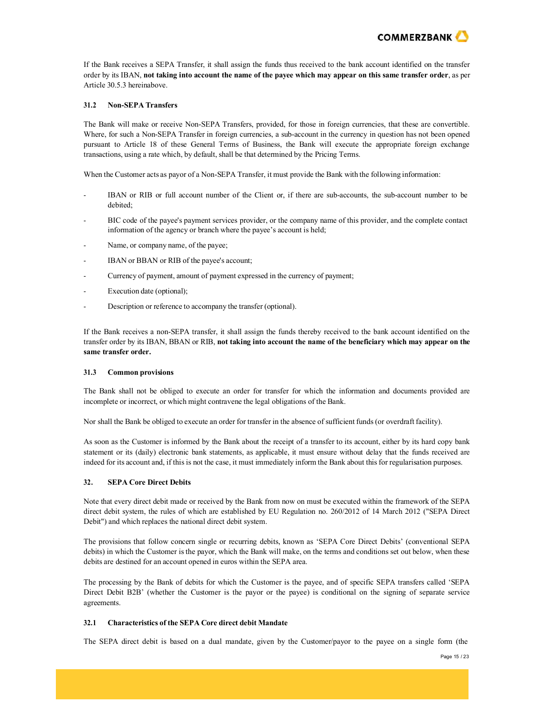

If the Bank receives a SEPA Transfer, it shall assign the funds thus received to the bank account identified on the transfer order by its IBAN, **not taking into account the name of the payee which may appear on this same transfer order**, as per Article 30.5.3 hereinabove.

## **31.2 Non-SEPA Transfers**

The Bank will make or receive Non-SEPA Transfers, provided, for those in foreign currencies, that these are convertible. Where, for such a Non-SEPA Transfer in foreign currencies, a sub-account in the currency in question has not been opened pursuant to Article 18 of these General Terms of Business, the Bank will execute the appropriate foreign exchange transactions, using a rate which, by default, shall be that determined by the Pricing Terms.

When the Customer acts as payor of a Non-SEPA Transfer, it must provide the Bank with the following information:

- IBAN or RIB or full account number of the Client or, if there are sub-accounts, the sub-account number to be debited;
- BIC code of the payee's payment services provider, or the company name of this provider, and the complete contact information of the agency or branch where the payee's account is held;
- Name, or company name, of the payee;
- IBAN or BBAN or RIB of the payee's account;
- Currency of payment, amount of payment expressed in the currency of payment;
- Execution date (optional);
- Description or reference to accompany the transfer (optional).

If the Bank receives a non-SEPA transfer, it shall assign the funds thereby received to the bank account identified on the transfer order by its IBAN, BBAN or RIB, **not taking into account the name of the beneficiary which may appear on the same transfer order.**

#### **31.3 Common provisions**

The Bank shall not be obliged to execute an order for transfer for which the information and documents provided are incomplete or incorrect, or which might contravene the legal obligations of the Bank.

Nor shall the Bank be obliged to execute an order for transfer in the absence of sufficient funds(or overdraft facility).

As soon as the Customer is informed by the Bank about the receipt of a transfer to its account, either by its hard copy bank statement or its (daily) electronic bank statements, as applicable, it must ensure without delay that the funds received are indeed for its account and, if this is not the case, it must immediately inform the Bank about this for regularisation purposes.

## **32. SEPA Core Direct Debits**

Note that every direct debit made or received by the Bank from now on must be executed within the framework of the SEPA direct debit system, the rules of which are established by EU Regulation no. 260/2012 of 14 March 2012 ("SEPA Direct Debit") and which replaces the national direct debit system.

The provisions that follow concern single or recurring debits, known as 'SEPA Core Direct Debits' (conventional SEPA debits) in which the Customer is the payor, which the Bank will make, on the terms and conditions set out below, when these debits are destined for an account opened in euros within the SEPA area.

The processing by the Bank of debits for which the Customer is the payee, and of specific SEPA transfers called 'SEPA Direct Debit B2B' (whether the Customer is the payor or the payee) is conditional on the signing of separate service agreements.

## **32.1 Characteristics of the SEPA Core direct debit Mandate**

The SEPA direct debit is based on a dual mandate, given by the Customer/payor to the payee on a single form (the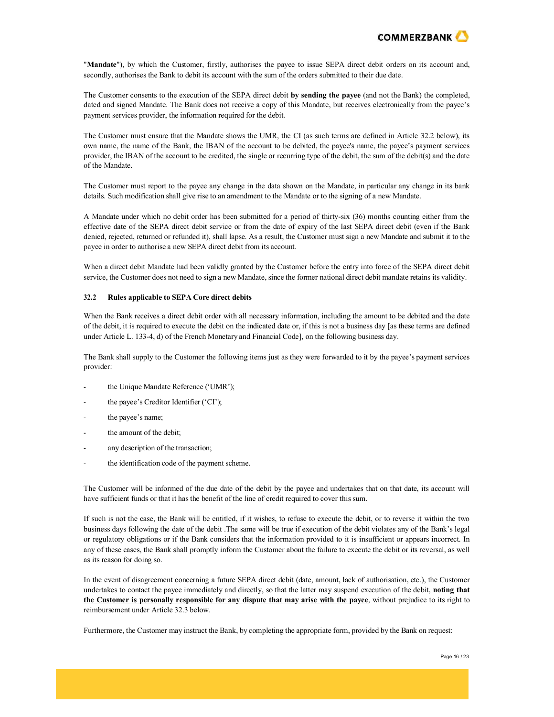

"**Mandate**"), by which the Customer, firstly, authorises the payee to issue SEPA direct debit orders on its account and, secondly, authorises the Bank to debit its account with the sum of the orders submitted to their due date.

The Customer consents to the execution of the SEPA direct debit **by sending the payee** (and not the Bank) the completed, dated and signed Mandate. The Bank does not receive a copy of this Mandate, but receives electronically from the payee's payment services provider, the information required for the debit.

The Customer must ensure that the Mandate shows the UMR, the CI (as such terms are defined in Article 32.2 below), its own name, the name of the Bank, the IBAN of the account to be debited, the payee's name, the payee's payment services provider, the IBAN of the account to be credited, the single or recurring type of the debit, the sum of the debit(s) and the date of the Mandate.

The Customer must report to the payee any change in the data shown on the Mandate, in particular any change in its bank details. Such modification shall give rise to an amendment to the Mandate or to the signing of a new Mandate.

A Mandate under which no debit order has been submitted for a period of thirty-six (36) months counting either from the effective date of the SEPA direct debit service or from the date of expiry of the last SEPA direct debit (even if the Bank denied, rejected, returned or refunded it), shall lapse. As a result, the Customer must sign a new Mandate and submit it to the payee in order to authorise a new SEPA direct debit from its account.

When a direct debit Mandate had been validly granted by the Customer before the entry into force of the SEPA direct debit service, the Customer does not need to sign a new Mandate, since the former national direct debit mandate retains its validity.

## **32.2 Rules applicable to SEPA Core direct debits**

When the Bank receives a direct debit order with all necessary information, including the amount to be debited and the date of the debit, it is required to execute the debit on the indicated date or, if this is not a business day [as these terms are defined under Article L. 133-4, d) of the French Monetary and Financial Code], on the following business day.

The Bank shall supply to the Customer the following items just as they were forwarded to it by the payee's payment services provider:

- the Unique Mandate Reference ('UMR');
- the payee's Creditor Identifier ('CI');
- the payee's name;
- the amount of the debit;
- any description of the transaction;
- the identification code of the payment scheme.

The Customer will be informed of the due date of the debit by the payee and undertakes that on that date, its account will have sufficient funds or that it has the benefit of the line of credit required to cover this sum.

If such is not the case, the Bank will be entitled, if it wishes, to refuse to execute the debit, or to reverse it within the two business days following the date of the debit .The same will be true if execution of the debit violates any of the Bank's legal or regulatory obligations or if the Bank considers that the information provided to it is insufficient or appears incorrect. In any of these cases, the Bank shall promptly inform the Customer about the failure to execute the debit or its reversal, as well as its reason for doing so.

In the event of disagreement concerning a future SEPA direct debit (date, amount, lack of authorisation, etc.), the Customer undertakes to contact the payee immediately and directly, so that the latter may suspend execution of the debit, **noting that the Customer is personally responsible for any dispute that may arise with the payee**, without prejudice to its right to reimbursement under Article 32.3 below.

Furthermore, the Customer may instruct the Bank, by completing the appropriate form, provided by the Bank on request: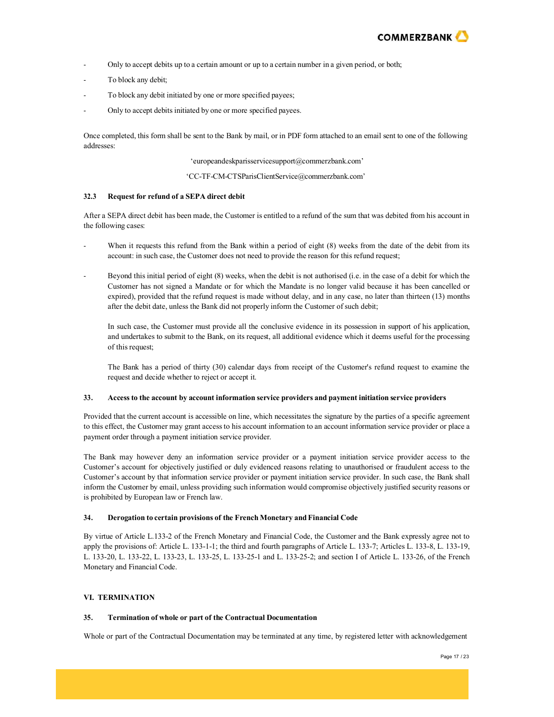

- Only to accept debits up to a certain amount or up to a certain number in a given period, or both;
- To block any debit;
- To block any debit initiated by one or more specified payees;
- Only to accept debits initiated by one or more specified payees.

Once completed, this form shall be sent to the Bank by mail, or in PDF form attached to an email sent to one of the following addresses:

['europeandeskparisservicesupport@commerzbank.com'](mailto:europeandeskparisservicesupport@commerzbank.com)

['CC-TF-CM-CTSParisClientService@commerzbank.com'](mailto:CC-TF-CM-CTSParisClientService@commerzbank.com)

### **32.3 Request for refund of a SEPA direct debit**

After a SEPA direct debit has been made, the Customer is entitled to a refund of the sum that was debited from his account in the following cases:

- When it requests this refund from the Bank within a period of eight (8) weeks from the date of the debit from its account: in such case, the Customer does not need to provide the reason for this refund request;
- Beyond this initial period of eight (8) weeks, when the debit is not authorised (i.e. in the case of a debit for which the Customer has not signed a Mandate or for which the Mandate is no longer valid because it has been cancelled or expired), provided that the refund request is made without delay, and in any case, no later than thirteen (13) months after the debit date, unless the Bank did not properly inform the Customer of such debit;

In such case, the Customer must provide all the conclusive evidence in its possession in support of his application, and undertakes to submit to the Bank, on its request, all additional evidence which it deems useful for the processing of this request;

The Bank has a period of thirty (30) calendar days from receipt of the Customer's refund request to examine the request and decide whether to reject or accept it.

## **33. Access to the account by account information service providers and payment initiation service providers**

Provided that the current account is accessible on line, which necessitates the signature by the parties of a specific agreement to this effect, the Customer may grant access to his account information to an account information service provider or place a payment order through a payment initiation service provider.

The Bank may however deny an information service provider or a payment initiation service provider access to the Customer's account for objectively justified or duly evidenced reasons relating to unauthorised or fraudulent access to the Customer's account by that information service provider or payment initiation service provider. In such case, the Bank shall inform the Customer by email, unless providing such information would compromise objectively justified security reasons or is prohibited by European law or French law.

### **34. Derogation to certain provisions of the FrenchMonetary andFinancial Code**

By virtue of Article L.133-2 of the French Monetary and Financial Code, the Customer and the Bank expressly agree not to apply the provisions of: Article L. 133-1-1; the third and fourth paragraphs of Article L. 133-7; Articles L. 133-8, L. 133-19, L. 133-20, L. 133-22, L. 133-23, L. 133-25, L. 133-25-1 and L. 133-25-2; and section I of Article L. 133-26, of the French Monetary and Financial Code.

## **VI. TERMINATION**

## **35. Termination of whole or part of the Contractual Documentation**

Whole or part of the Contractual Documentation may be terminated at any time, by registered letter with acknowledgement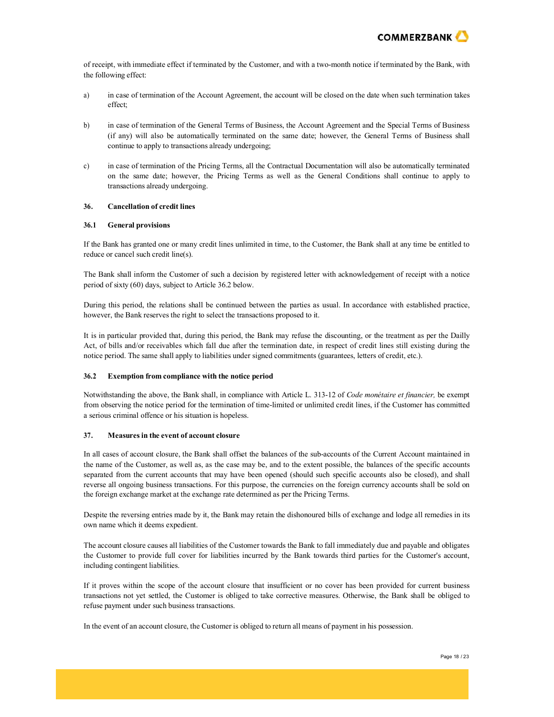

of receipt, with immediate effect if terminated by the Customer, and with a two-month notice if terminated by the Bank, with the following effect:

- a) in case of termination of the Account Agreement, the account will be closed on the date when such termination takes effect;
- b) in case of termination of the General Terms of Business, the Account Agreement and the Special Terms of Business (if any) will also be automatically terminated on the same date; however, the General Terms of Business shall continue to apply to transactions already undergoing;
- c) in case of termination of the Pricing Terms, all the Contractual Documentation will also be automatically terminated on the same date; however, the Pricing Terms as well as the General Conditions shall continue to apply to transactions already undergoing.

## **36. Cancellation of credit lines**

### **36.1 General provisions**

If the Bank has granted one or many credit lines unlimited in time, to the Customer, the Bank shall at any time be entitled to reduce or cancel such credit line(s).

The Bank shall inform the Customer of such a decision by registered letter with acknowledgement of receipt with a notice period of sixty (60) days, subject to Article 36.2 below.

During this period, the relations shall be continued between the parties as usual. In accordance with established practice, however, the Bank reserves the right to select the transactions proposed to it.

It is in particular provided that, during this period, the Bank may refuse the discounting, or the treatment as per the Dailly Act, of bills and/or receivables which fall due after the termination date, in respect of credit lines still existing during the notice period. The same shall apply to liabilities under signed commitments (guarantees, letters of credit, etc.).

### **36.2 Exemption from compliance with the notice period**

Notwithstanding the above, the Bank shall, in compliance with Article L. 313-12 of *Code monétaire et financier,* be exempt from observing the notice period for the termination of time-limited or unlimited credit lines, if the Customer has committed a serious criminal offence or his situation is hopeless.

### **37. Measuresin the event of account closure**

In all cases of account closure, the Bank shall offset the balances of the sub-accounts of the Current Account maintained in the name of the Customer, as well as, as the case may be, and to the extent possible, the balances of the specific accounts separated from the current accounts that may have been opened (should such specific accounts also be closed), and shall reverse all ongoing business transactions. For this purpose, the currencies on the foreign currency accounts shall be sold on the foreign exchange market at the exchange rate determined as per the Pricing Terms.

Despite the reversing entries made by it, the Bank may retain the dishonoured bills of exchange and lodge all remedies in its own name which it deems expedient.

The account closure causes all liabilities of the Customer towards the Bank to fall immediately due and payable and obligates the Customer to provide full cover for liabilities incurred by the Bank towards third parties for the Customer's account, including contingent liabilities.

If it proves within the scope of the account closure that insufficient or no cover has been provided for current business transactions not yet settled, the Customer is obliged to take corrective measures. Otherwise, the Bank shall be obliged to refuse payment under such business transactions.

In the event of an account closure, the Customer is obliged to return all means of payment in his possession.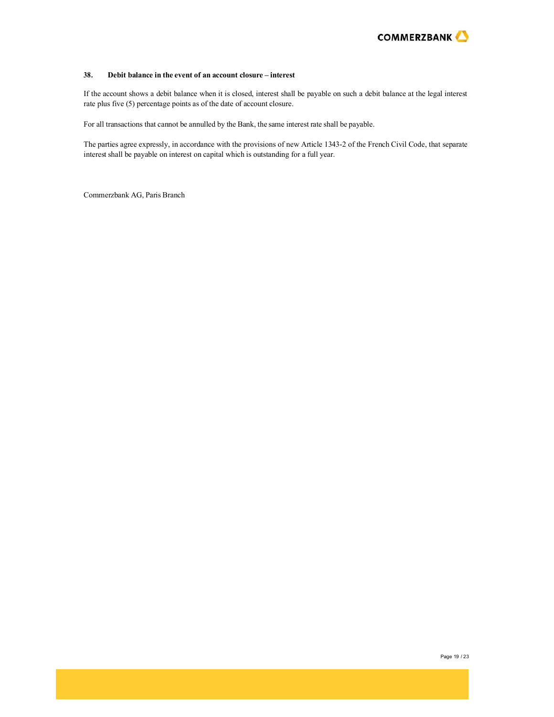

## **38. Debit balance in the event of an account closure – interest**

If the account shows a debit balance when it is closed, interest shall be payable on such a debit balance at the legal interest rate plus five (5) percentage points as of the date of account closure.

For all transactions that cannot be annulled by the Bank, the same interest rate shall be payable.

The parties agree expressly, in accordance with the provisions of new Article 1343-2 of the French Civil Code, that separate interest shall be payable on interest on capital which is outstanding for a full year.

Commerzbank AG, Paris Branch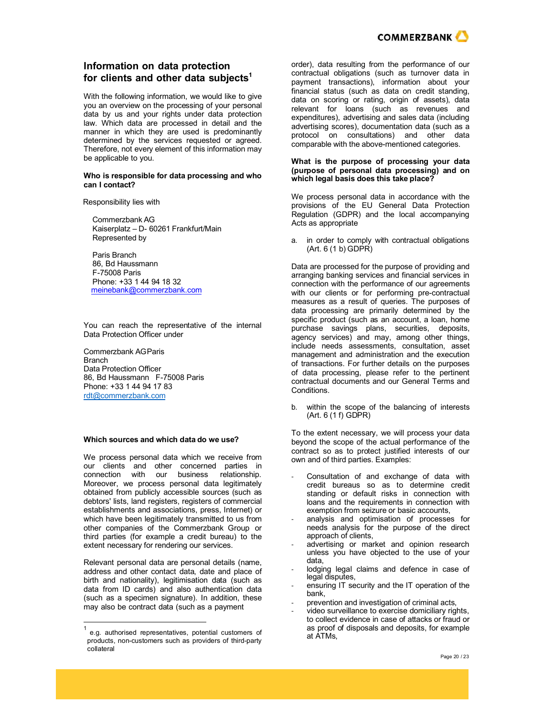

# **Information on data protection for clients and other data subjects1**

With the following information, we would like to give you an overview on the processing of your personal data by us and your rights under data protection law. Which data are processed in detail and the manner in which they are used is predominantly determined by the services requested or agreed. Therefore, not every element of this information may be applicable to you.

#### **Who is responsible for data processing and who can I contact?**

Responsibility lies with

Commerzbank AG Kaiserplatz – D- 60261 Frankfurt/Main Represented by

Paris Branch 86, Bd Haussmann F-75008 Paris Phone: +33 1 44 94 18 32 [meinebank@commerzbank.com](mailto:meinebank@commerzbank.com)

You can reach the representative of the internal Data Protection Officer under

Commerzbank AGParis Branch Data Protection Officer 86, Bd Haussmann F-75008 Paris Phone: +33 1 44 94 17 83 [rdt@commerzbank.com](mailto:rdt@commerzbank.com)

#### **Which sources and which data do we use?**

We process personal data which we receive from our clients and other concerned parties in connection with our business relationship. Moreover, we process personal data legitimately obtained from publicly accessible sources (such as debtors' lists, land registers, registers of commercial establishments and associations, press, Internet) or which have been legitimately transmitted to us from other companies of the Commerzbank Group or third parties (for example a credit bureau) to the extent necessary for rendering our services.

Relevant personal data are personal details (name, address and other contact data, date and place of birth and nationality), legitimisation data (such as data from ID cards) and also authentication data (such as a specimen signature). In addition, these may also be contract data (such as a payment

order), data resulting from the performance of our contractual obligations (such as turnover data in payment transactions), information about your financial status (such as data on credit standing, data on scoring or rating, origin of assets), data relevant for loans (such as revenues and expenditures), advertising and sales data (including advertising scores), documentation data (such as a protocol on consultations) and other data comparable with the above-mentioned categories.

#### **What is the purpose of processing your data (purpose of personal data processing) and on which legal basis does this take place?**

We process personal data in accordance with the provisions of the EU General Data Protection Regulation (GDPR) and the local accompanying Acts as appropriate

a. in order to comply with contractual obligations  $(Art. 6 (1 b) GDPR)$ 

Data are processed for the purpose of providing and arranging banking services and financial services in connection with the performance of our agreements with our clients or for performing pre-contractual measures as a result of queries. The purposes of data processing are primarily determined by the specific product (such as an account, a loan, home purchase savings plans, securities, deposits, agency services) and may, among other things, include needs assessments, consultation, asset management and administration and the execution of transactions. For further details on the purposes of data processing, please refer to the pertinent contractual documents and our General Terms and Conditions.

b. within the scope of the balancing of interests (Art. 6 (1 f) GDPR)

To the extent necessary, we will process your data beyond the scope of the actual performance of the contract so as to protect justified interests of our own and of third parties. Examples:

- Consultation of and exchange of data with credit bureaus so as to determine credit standing or default risks in connection with loans and the requirements in connection with exemption from seizure or basic accounts,
- analysis and optimisation of processes for needs analysis for the purpose of the direct approach of clients,
- advertising or market and opinion research unless you have objected to the use of your data,
- lodging legal claims and defence in case of legal disputes,
- ensuring IT security and the IT operation of the bank,
- prevention and investigation of criminal acts,
- video surveillance to exercise domiciliary rights, to collect evidence in case of attacks or fraud or as proof of disposals and deposits, for example at ATMs,

e.g. authorised representatives, potential customers of products, non-customers such as providers of third-party collateral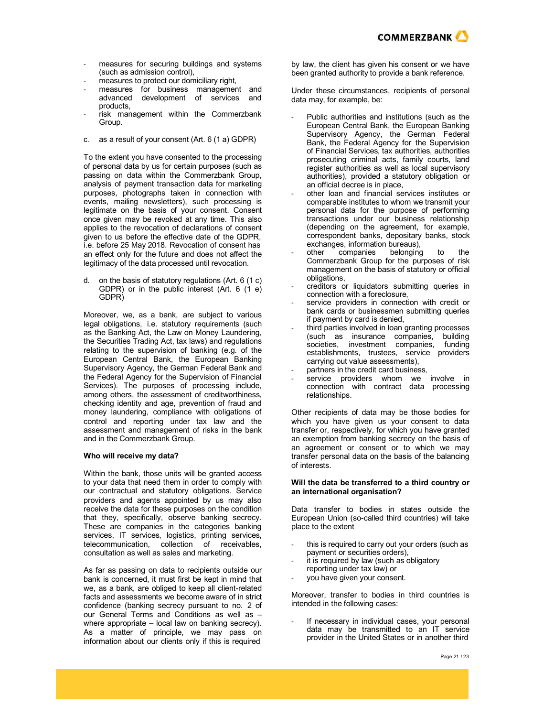

- measures for securing buildings and systems (such as admission control),
- measures to protect our domiciliary right,
- measures for business management and advanced development of services and products,
- risk management within the Commerzbank Group.
- c. as a result of your consent (Art. 6 (1 a) GDPR)

To the extent you have consented to the processing of personal data by us for certain purposes (such as passing on data within the Commerzbank Group, analysis of payment transaction data for marketing purposes, photographs taken in connection with events, mailing newsletters), such processing is legitimate on the basis of your consent. Consent once given may be revoked at any time. This also applies to the revocation of declarations of consent given to us before the effective date of the GDPR, i.e. before 25 May 2018. Revocation of consent has an effect only for the future and does not affect the legitimacy of the data processed until revocation.

d. on the basis of statutory regulations (Art. 6 (1 c) GDPR) or in the public interest (Art. 6 (1 e) GDPR)

Moreover, we, as a bank, are subject to various legal obligations, i.e. statutory requirements (such as the Banking Act, the Law on Money Laundering, the Securities Trading Act, tax laws) and regulations relating to the supervision of banking (e.g. of the European Central Bank, the European Banking Supervisory Agency, the German Federal Bank and the Federal Agency for the Supervision of Financial Services). The purposes of processing include, among others, the assessment of creditworthiness, checking identity and age, prevention of fraud and money laundering, compliance with obligations of control and reporting under tax law and the assessment and management of risks in the bank and in the Commerzbank Group.

#### **Who will receive my data?**

Within the bank, those units will be granted access to your data that need them in order to comply with our contractual and statutory obligations. Service providers and agents appointed by us may also receive the data for these purposes on the condition that they, specifically, observe banking secrecy. These are companies in the categories banking services, IT services, logistics, printing services, telecommunication, collection of receivables, consultation as well as sales and marketing.

As far as passing on data to recipients outside our bank is concerned, it must first be kept in mind that we, as a bank, are obliged to keep all client-related facts and assessments we become aware of in strict confidence (banking secrecy pursuant to no. 2 of our General Terms and Conditions as well as – where appropriate – local law on banking secrecy). As a matter of principle, we may pass on information about our clients only if this is required

by law, the client has given his consent or we have been granted authority to provide a bank reference.

Under these circumstances, recipients of personal data may, for example, be:

- Public authorities and institutions (such as the European Central Bank, the European Banking Supervisory Agency, the German Federal Bank, the Federal Agency for the Supervision of Financial Services, tax authorities, authorities prosecuting criminal acts, family courts, land register authorities as well as local supervisory authorities), provided a statutory obligation or an official decree is in place,
- other loan and financial services institutes or comparable institutes to whom we transmit your personal data for the purpose of performing transactions under our business relationship (depending on the agreement, for example, correspondent banks, depositary banks, stock exchanges, information bureaus),<br>other companies belonging
- companies belonging to the Commerzbank Group for the purposes of risk management on the basis of statutory or official obligations,
- creditors or liquidators submitting queries in connection with a foreclosure,
- service providers in connection with credit or bank cards or businessmen submitting queries if payment by card is denied,
- third parties involved in loan granting processes (such as insurance companies, building societies, investment companies, funding establishments, trustees, service providers carrying out value assessments),
- partners in the credit card business,
- service providers whom we involve in connection with contract data processing relationships.

Other recipients of data may be those bodies for which you have given us your consent to data transfer or, respectively, for which you have granted an exemption from banking secrecy on the basis of an agreement or consent or to which we may transfer personal data on the basis of the balancing of interests.

### **Will the data be transferred to a third country or an international organisation?**

Data transfer to bodies in states outside the European Union (so-called third countries) will take place to the extent

- this is required to carry out your orders (such as payment or securities orders),
- it is required by law (such as obligatory
- reporting under tax law) or
- you have given your consent.

Moreover, transfer to bodies in third countries is intended in the following cases:

If necessary in individual cases, your personal data may be transmitted to an IT service provider in the United States or in another third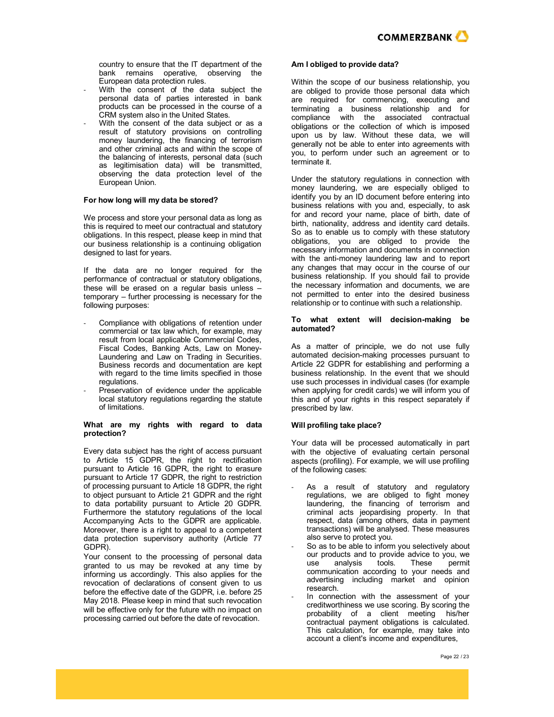

country to ensure that the IT department of the bank remains operative, observing the European data protection rules.

- With the consent of the data subject the personal data of parties interested in bank products can be processed in the course of a CRM system also in the United States.
- With the consent of the data subject or as a result of statutory provisions on controlling money laundering, the financing of terrorism and other criminal acts and within the scope of the balancing of interests, personal data (such as legitimisation data) will be transmitted, observing the data protection level of the European Union.

#### **For how long will my data be stored?**

We process and store your personal data as long as this is required to meet our contractual and statutory obligations. In this respect, please keep in mind that our business relationship is a continuing obligation designed to last for years.

If the data are no longer required for the performance of contractual or statutory obligations, these will be erased on a regular basis unless – temporary – further processing is necessary for the following purposes:

- Compliance with obligations of retention under commercial or tax law which, for example, may result from local applicable Commercial Codes, Fiscal Codes, Banking Acts, Law on Money-Laundering and Law on Trading in Securities. Business records and documentation are kept with regard to the time limits specified in those regulations.
- Preservation of evidence under the applicable local statutory regulations regarding the statute of limitations.

#### **What are my rights with regard to data protection?**

Every data subject has the right of access pursuant to Article 15 GDPR, the right to rectification pursuant to Article 16 GDPR, the right to erasure pursuant to Article 17 GDPR, the right to restriction of processing pursuant to Article 18 GDPR, the right to object pursuant to Article 21 GDPR and the right to data portability pursuant to Article 20 GDPR. Furthermore the statutory regulations of the local Accompanying Acts to the GDPR are applicable. Moreover, there is a right to appeal to a competent data protection supervisory authority (Article 77 GDPR).

Your consent to the processing of personal data granted to us may be revoked at any time by informing us accordingly. This also applies for the revocation of declarations of consent given to us before the effective date of the GDPR, i.e. before 25 May 2018. Please keep in mind that such revocation will be effective only for the future with no impact on processing carried out before the date of revocation.

#### **Am I obliged to provide data?**

Within the scope of our business relationship, you are obliged to provide those personal data which are required for commencing, executing and terminating a business relationship and for compliance with the associated contractual obligations or the collection of which is imposed upon us by law. Without these data, we will generally not be able to enter into agreements with you, to perform under such an agreement or to terminate it.

Under the statutory regulations in connection with money laundering, we are especially obliged to identify you by an ID document before entering into business relations with you and, especially, to ask for and record your name, place of birth, date of birth, nationality, address and identity card details. So as to enable us to comply with these statutory obligations, you are obliged to provide the necessary information and documents in connection with the anti-money laundering law and to report any changes that may occur in the course of our business relationship. If you should fail to provide the necessary information and documents, we are not permitted to enter into the desired business relationship or to continue with such a relationship.

#### **To what extent will decision-making be automated?**

As a matter of principle, we do not use fully automated decision-making processes pursuant to Article 22 GDPR for establishing and performing a business relationship. In the event that we should use such processes in individual cases (for example when applying for credit cards) we will inform you of this and of your rights in this respect separately if prescribed by law.

#### **Will profiling take place?**

Your data will be processed automatically in part with the objective of evaluating certain personal aspects (profiling). For example, we will use profiling of the following cases:

- As a result of statutory and regulatory regulations, we are obliged to fight money laundering, the financing of terrorism and criminal acts jeopardising property. In that respect, data (among others, data in payment transactions) will be analysed. These measures also serve to protect you.
- So as to be able to inform you selectively about our products and to provide advice to you, we<br>use analysis tools. These permit use analysis tools. These permit communication according to your needs and advertising including market and opinion research.
- In connection with the assessment of your creditworthiness we use scoring. By scoring the probability of a client meeting his/her contractual payment obligations is calculated. This calculation, for example, may take into account a client's income and expenditures,